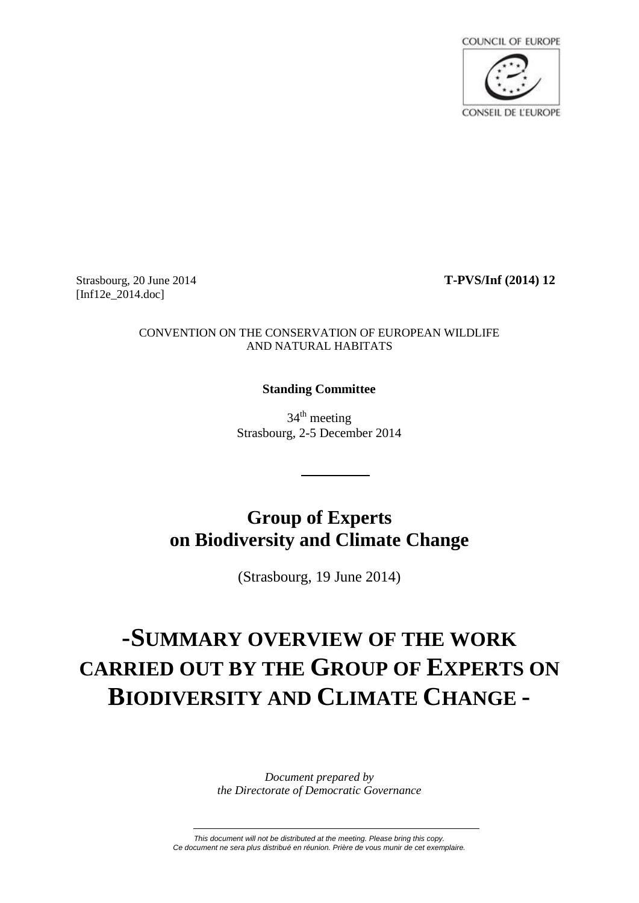

Strasbourg, 20 June 2014 **T-PVS/Inf (2014) 12** [Inf12e 2014.doc]

## CONVENTION ON THE CONSERVATION OF EUROPEAN WILDLIFE AND NATURAL HABITATS

# **Standing Committee**

34<sup>th</sup> meeting Strasbourg, 2-5 December 2014

# **Group of Experts on Biodiversity and Climate Change**

(Strasbourg, 19 June 2014)

# **-SUMMARY OVERVIEW OF THE WORK CARRIED OUT BY THE GROUP OF EXPERTS ON BIODIVERSITY AND CLIMATE CHANGE -**

*Document prepared by the Directorate of Democratic Governance*

*This document will not be distributed at the meeting. Please bring this copy. Ce document ne sera plus distribué en réunion. Prière de vous munir de cet exemplaire.*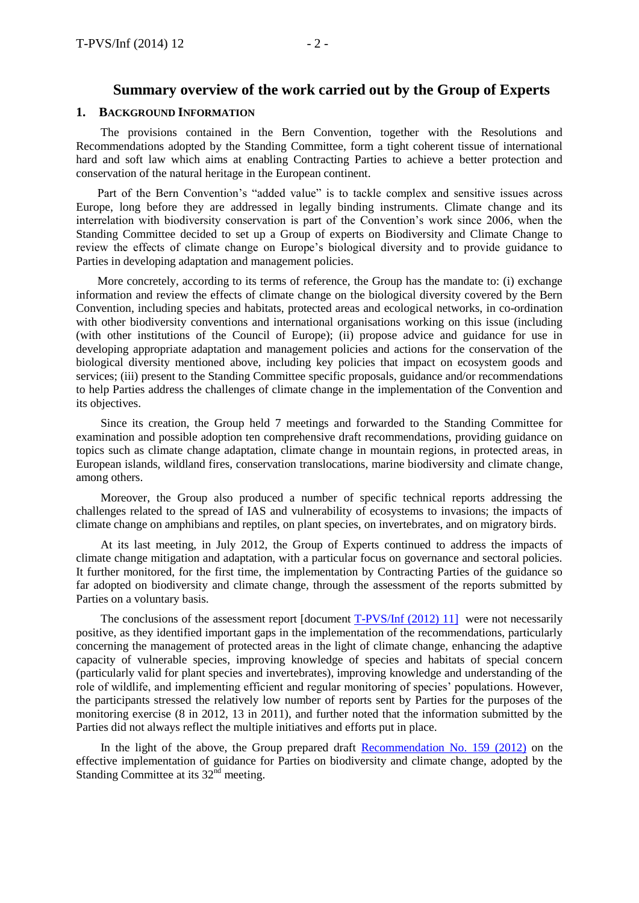# **Summary overview of the work carried out by the Group of Experts**

#### **1. BACKGROUND INFORMATION**

The provisions contained in the Bern Convention, together with the Resolutions and Recommendations adopted by the Standing Committee, form a tight coherent tissue of international hard and soft law which aims at enabling Contracting Parties to achieve a better protection and conservation of the natural heritage in the European continent.

Part of the Bern Convention's "added value" is to tackle complex and sensitive issues across Europe, long before they are addressed in legally binding instruments. Climate change and its interrelation with biodiversity conservation is part of the Convention's work since 2006, when the Standing Committee decided to set up a Group of experts on Biodiversity and Climate Change to review the effects of climate change on Europe's biological diversity and to provide guidance to Parties in developing adaptation and management policies.

More concretely, according to its terms of reference, the Group has the mandate to: (i) exchange information and review the effects of climate change on the biological diversity covered by the Bern Convention, including species and habitats, protected areas and ecological networks, in co-ordination with other biodiversity conventions and international organisations working on this issue (including (with other institutions of the Council of Europe); (ii) propose advice and guidance for use in developing appropriate adaptation and management policies and actions for the conservation of the biological diversity mentioned above, including key policies that impact on ecosystem goods and services; (iii) present to the Standing Committee specific proposals, guidance and/or recommendations to help Parties address the challenges of climate change in the implementation of the Convention and its objectives.

Since its creation, the Group held 7 meetings and forwarded to the Standing Committee for examination and possible adoption ten comprehensive draft recommendations, providing guidance on topics such as climate change adaptation, climate change in mountain regions, in protected areas, in European islands, wildland fires, conservation translocations, marine biodiversity and climate change, among others.

Moreover, the Group also produced a number of specific technical reports addressing the challenges related to the spread of IAS and vulnerability of ecosystems to invasions; the impacts of climate change on amphibians and reptiles, on plant species, on invertebrates, and on migratory birds.

At its last meeting, in July 2012, the Group of Experts continued to address the impacts of climate change mitigation and adaptation, with a particular focus on governance and sectoral policies. It further monitored, for the first time, the implementation by Contracting Parties of the guidance so far adopted on biodiversity and climate change, through the assessment of the reports submitted by Parties on a voluntary basis.

The conclusions of the assessment report [document [T-PVS/Inf \(2012\) 11\]](https://wcd.coe.int/com.instranet.InstraServlet?command=com.instranet.CmdBlobGet&InstranetImage=2169598&SecMode=1&DocId=1916934&Usage=2) were not necessarily positive, as they identified important gaps in the implementation of the recommendations, particularly concerning the management of protected areas in the light of climate change, enhancing the adaptive capacity of vulnerable species, improving knowledge of species and habitats of special concern (particularly valid for plant species and invertebrates), improving knowledge and understanding of the role of wildlife, and implementing efficient and regular monitoring of species' populations. However, the participants stressed the relatively low number of reports sent by Parties for the purposes of the monitoring exercise (8 in 2012, 13 in 2011), and further noted that the information submitted by the Parties did not always reflect the multiple initiatives and efforts put in place.

In the light of the above, the Group prepared draft [Recommendation No. 159](https://wcd.coe.int/ViewDoc.jsp?id=2010677&Site=&BackColorInternet=B9BDEE&BackColorIntranet=FFCD4F&BackColorLogged=FFC679) (2012) on the effective implementation of guidance for Parties on biodiversity and climate change, adopted by the Standing Committee at its 32<sup>nd</sup> meeting.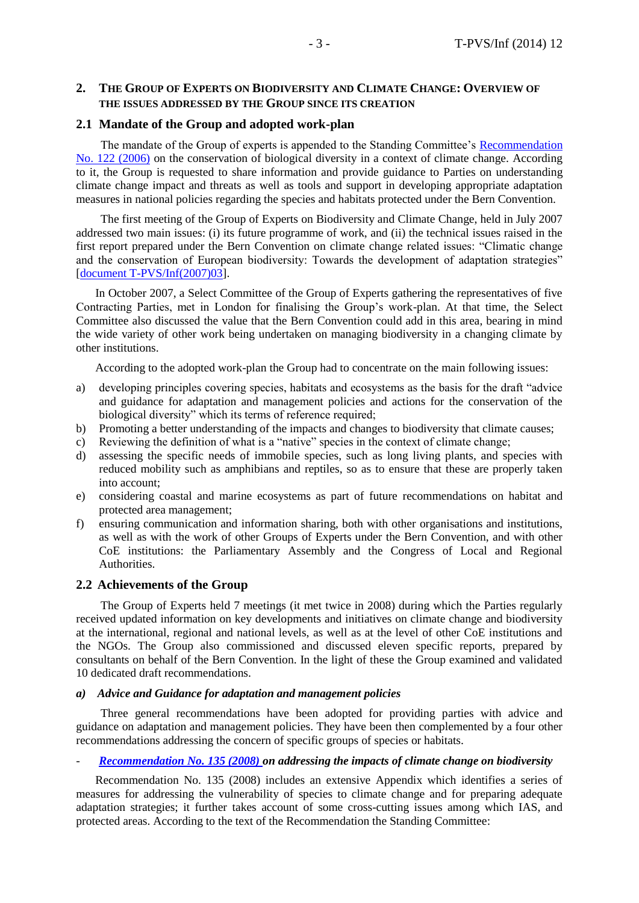# **2. THE GROUP OF EXPERTS ON BIODIVERSITY AND CLIMATE CHANGE: OVERVIEW OF THE ISSUES ADDRESSED BY THE GROUP SINCE ITS CREATION**

# **2.1 Mandate of the Group and adopted work-plan**

The mandate of the Group of experts is appended to the Standing Committee's [Recommendation](https://wcd.coe.int/ViewDoc.jsp?Ref=Rec%282006%29122&Language=lanEnglish&Ver=original&Site=DG4-Nature&BackColorInternet=a3b811&BackColorIntranet=a3b811&BackColorLogged=EDF4B3)  [No. 122 \(2006\)](https://wcd.coe.int/ViewDoc.jsp?Ref=Rec%282006%29122&Language=lanEnglish&Ver=original&Site=DG4-Nature&BackColorInternet=a3b811&BackColorIntranet=a3b811&BackColorLogged=EDF4B3) on the conservation of biological diversity in a context of climate change. According to it, the Group is requested to share information and provide guidance to Parties on understanding climate change impact and threats as well as tools and support in developing appropriate adaptation measures in national policies regarding the species and habitats protected under the Bern Convention.

The first meeting of the Group of Experts on Biodiversity and Climate Change, held in July 2007 addressed two main issues: (i) its future programme of work, and (ii) the technical issues raised in the first report prepared under the Bern Convention on climate change related issues: "Climatic change and the conservation of European biodiversity: Towards the development of adaptation strategies" [\[document T-PVS/Inf\(2007\)03\]](https://wcd.coe.int/com.instranet.InstraServlet?command=com.instranet.CmdBlobGet&InstranetImage=1574437&SecMode=1&DocId=1438656&Usage=2).

In October 2007, a Select Committee of the Group of Experts gathering the representatives of five Contracting Parties, met in London for finalising the Group's work-plan. At that time, the Select Committee also discussed the value that the Bern Convention could add in this area, bearing in mind the wide variety of other work being undertaken on managing biodiversity in a changing climate by other institutions.

According to the adopted work-plan the Group had to concentrate on the main following issues:

- a) developing principles covering species, habitats and ecosystems as the basis for the draft "advice and guidance for adaptation and management policies and actions for the conservation of the biological diversity" which its terms of reference required;
- b) Promoting a better understanding of the impacts and changes to biodiversity that climate causes;
- c) Reviewing the definition of what is a "native" species in the context of climate change;
- d) assessing the specific needs of immobile species, such as long living plants, and species with reduced mobility such as amphibians and reptiles, so as to ensure that these are properly taken into account;
- e) considering coastal and marine ecosystems as part of future recommendations on habitat and protected area management;
- f) ensuring communication and information sharing, both with other organisations and institutions, as well as with the work of other Groups of Experts under the Bern Convention, and with other CoE institutions: the Parliamentary Assembly and the Congress of Local and Regional Authorities.

# **2.2 Achievements of the Group**

The Group of Experts held 7 meetings (it met twice in 2008) during which the Parties regularly received updated information on key developments and initiatives on climate change and biodiversity at the international, regional and national levels, as well as at the level of other CoE institutions and the NGOs. The Group also commissioned and discussed eleven specific reports, prepared by consultants on behalf of the Bern Convention. In the light of these the Group examined and validated 10 dedicated draft recommendations.

# *a) Advice and Guidance for adaptation and management policies*

Three general recommendations have been adopted for providing parties with advice and guidance on adaptation and management policies. They have been then complemented by a four other recommendations addressing the concern of specific groups of species or habitats.

#### - *[Recommendation No. 135 \(2008\) o](https://wcd.coe.int/ViewDoc.jsp?Ref=Rec%282008%29135&Language=lanEnglish&Ver=original&Site=DG4-Nature&BackColorInternet=a3b811&BackColorIntranet=a3b811&BackColorLogged=EDF4B3)n addressing the impacts of climate change on biodiversity*

Recommendation No. 135 (2008) includes an extensive Appendix which identifies a series of measures for addressing the vulnerability of species to climate change and for preparing adequate adaptation strategies; it further takes account of some cross-cutting issues among which IAS, and protected areas. According to the text of the Recommendation the Standing Committee: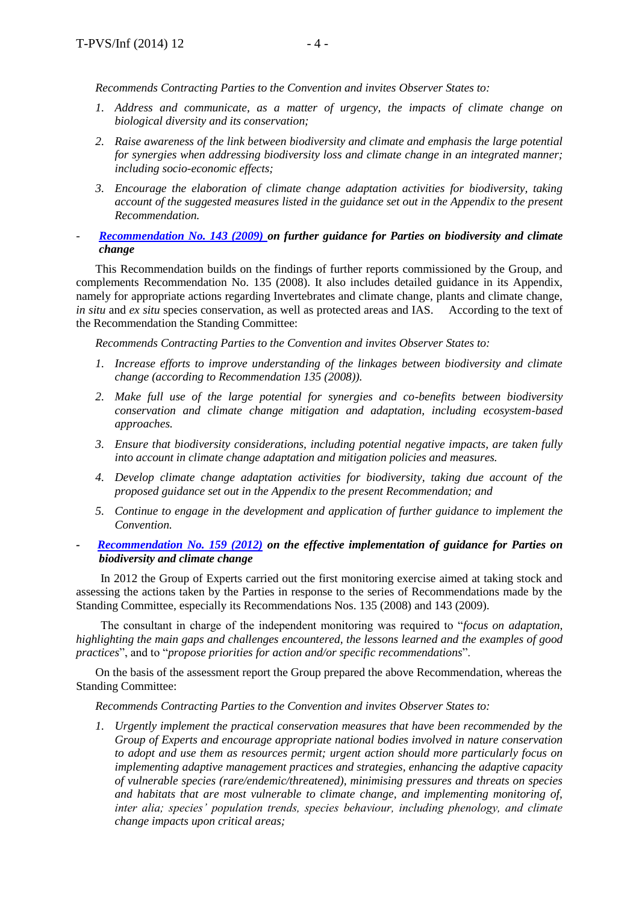*Recommends Contracting Parties to the Convention and invites Observer States to:*

- *1. Address and communicate, as a matter of urgency, the impacts of climate change on biological diversity and its conservation;*
- *2. Raise awareness of the link between biodiversity and climate and emphasis the large potential for synergies when addressing biodiversity loss and climate change in an integrated manner; including socio-economic effects;*
- *3. Encourage the elaboration of climate change adaptation activities for biodiversity, taking account of the suggested measures listed in the guidance set out in the Appendix to the present Recommendation.*
- *[Recommendation No. 143 \(2009\) o](https://wcd.coe.int/ViewDoc.jsp?id=1560549&Site=DG4-Nature&BackColorInternet=DBDCF2&BackColorIntranet=FDC864&BackColorLogged=FDC864)n further guidance for Parties on biodiversity and climate change*

This Recommendation builds on the findings of further reports commissioned by the Group, and complements Recommendation No. 135 (2008). It also includes detailed guidance in its Appendix, namely for appropriate actions regarding Invertebrates and climate change, plants and climate change, *in situ* and *ex situ* species conservation, as well as protected areas and IAS. According to the text of the Recommendation the Standing Committee:

*Recommends Contracting Parties to the Convention and invites Observer States to:*

- *1. Increase efforts to improve understanding of the linkages between biodiversity and climate change (according to Recommendation 135 (2008)).*
- *2. Make full use of the large potential for synergies and co-benefits between biodiversity conservation and climate change mitigation and adaptation, including ecosystem-based approaches.*
- *3. Ensure that biodiversity considerations, including potential negative impacts, are taken fully into account in climate change adaptation and mitigation policies and measures.*
- *4. Develop climate change adaptation activities for biodiversity, taking due account of the proposed guidance set out in the Appendix to the present Recommendation; and*
- *5. Continue to engage in the development and application of further guidance to implement the Convention.*
- *- [Recommendation No. 159 \(2012\)](https://wcd.coe.int/ViewDoc.jsp?id=2010677&Site=&BackColorInternet=B9BDEE&BackColorIntranet=FFCD4F&BackColorLogged=FFC679) on the effective implementation of guidance for Parties on biodiversity and climate change*

In 2012 the Group of Experts carried out the first monitoring exercise aimed at taking stock and assessing the actions taken by the Parties in response to the series of Recommendations made by the Standing Committee, especially its Recommendations Nos. 135 (2008) and 143 (2009).

The consultant in charge of the independent monitoring was required to "*focus on adaptation, highlighting the main gaps and challenges encountered, the lessons learned and the examples of good practices*", and to "*propose priorities for action and/or specific recommendations*".

On the basis of the assessment report the Group prepared the above Recommendation, whereas the Standing Committee:

*Recommends Contracting Parties to the Convention and invites Observer States to:*

*1. Urgently implement the practical conservation measures that have been recommended by the Group of Experts and encourage appropriate national bodies involved in nature conservation to adopt and use them as resources permit; urgent action should more particularly focus on implementing adaptive management practices and strategies, enhancing the adaptive capacity of vulnerable species (rare/endemic/threatened), minimising pressures and threats on species and habitats that are most vulnerable to climate change, and implementing monitoring of, inter alia; species' population trends, species behaviour, including phenology, and climate change impacts upon critical areas;*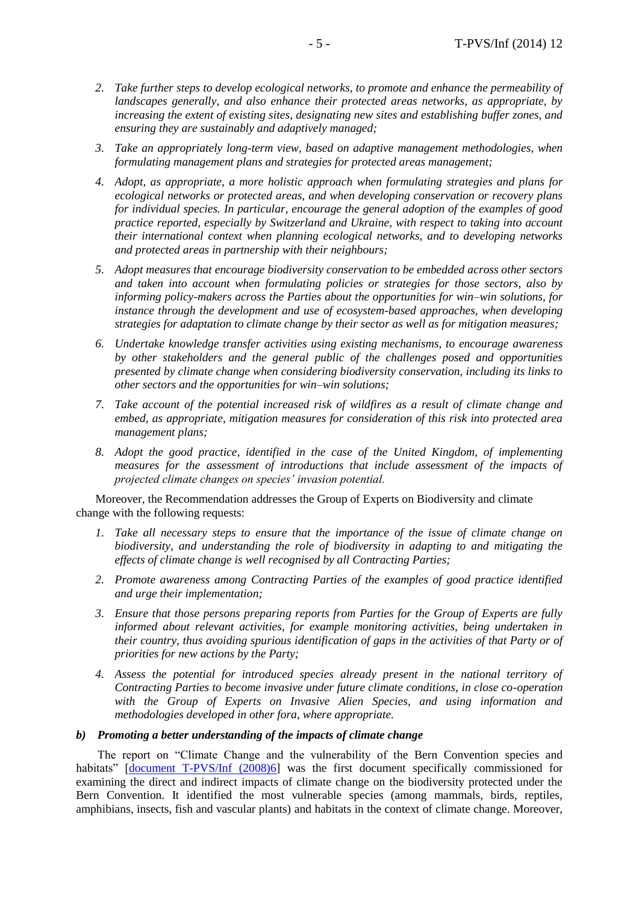- *2. Take further steps to develop ecological networks, to promote and enhance the permeability of landscapes generally, and also enhance their protected areas networks, as appropriate, by increasing the extent of existing sites, designating new sites and establishing buffer zones, and ensuring they are sustainably and adaptively managed;*
- *3. Take an appropriately long-term view, based on adaptive management methodologies, when formulating management plans and strategies for protected areas management;*
- *4. Adopt, as appropriate, a more holistic approach when formulating strategies and plans for ecological networks or protected areas, and when developing conservation or recovery plans for individual species. In particular, encourage the general adoption of the examples of good practice reported, especially by Switzerland and Ukraine, with respect to taking into account their international context when planning ecological networks, and to developing networks and protected areas in partnership with their neighbours;*
- *5. Adopt measures that encourage biodiversity conservation to be embedded across other sectors and taken into account when formulating policies or strategies for those sectors, also by informing policy-makers across the Parties about the opportunities for win–win solutions, for instance through the development and use of ecosystem-based approaches, when developing strategies for adaptation to climate change by their sector as well as for mitigation measures;*
- *6. Undertake knowledge transfer activities using existing mechanisms, to encourage awareness by other stakeholders and the general public of the challenges posed and opportunities presented by climate change when considering biodiversity conservation, including its links to other sectors and the opportunities for win–win solutions;*
- *7. Take account of the potential increased risk of wildfires as a result of climate change and embed, as appropriate, mitigation measures for consideration of this risk into protected area management plans;*
- *8. Adopt the good practice, identified in the case of the United Kingdom, of implementing measures for the assessment of introductions that include assessment of the impacts of projected climate changes on species' invasion potential.*

Moreover, the Recommendation addresses the Group of Experts on Biodiversity and climate change with the following requests:

- *1. Take all necessary steps to ensure that the importance of the issue of climate change on biodiversity, and understanding the role of biodiversity in adapting to and mitigating the effects of climate change is well recognised by all Contracting Parties;*
- *2. Promote awareness among Contracting Parties of the examples of good practice identified and urge their implementation;*
- *3. Ensure that those persons preparing reports from Parties for the Group of Experts are fully informed about relevant activities, for example monitoring activities, being undertaken in their country, thus avoiding spurious identification of gaps in the activities of that Party or of priorities for new actions by the Party;*
- *4. Assess the potential for introduced species already present in the national territory of Contracting Parties to become invasive under future climate conditions, in close co-operation with the Group of Experts on Invasive Alien Species, and using information and methodologies developed in other fora, where appropriate.*

#### *b) Promoting a better understanding of the impacts of climate change*

The report on "Climate Change and the vulnerability of the Bern Convention species and habitats" [\[document T-PVS/Inf \(2008\)6\]](https://wcd.coe.int/ViewDoc.jsp?id=1473893&Site=DG4-Nature&BackColorInternet=DBDCF2&BackColorIntranet=FDC864&BackColorLogged=FDC864) was the first document specifically commissioned for examining the direct and indirect impacts of climate change on the biodiversity protected under the Bern Convention. It identified the most vulnerable species (among mammals, birds, reptiles, amphibians, insects, fish and vascular plants) and habitats in the context of climate change. Moreover,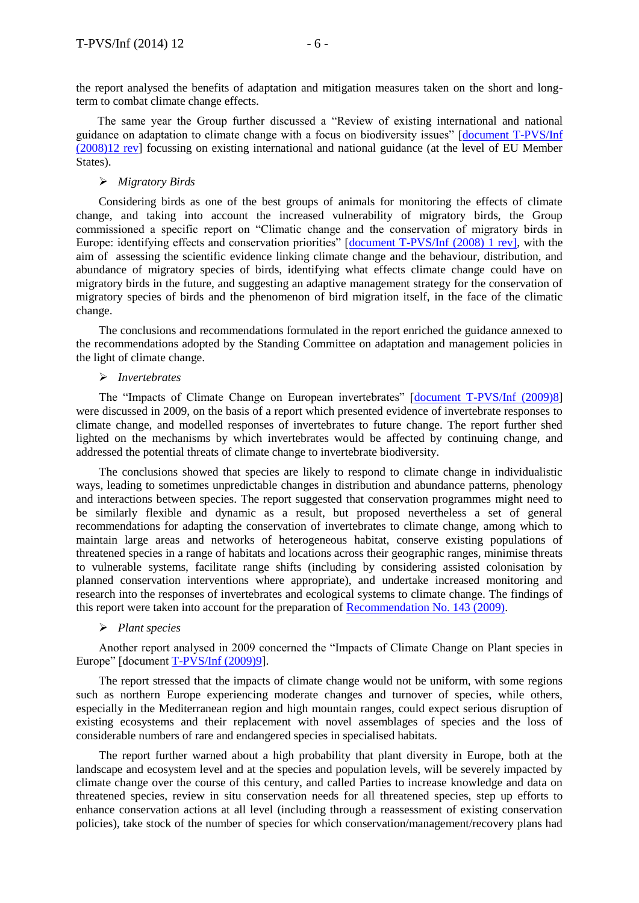the report analysed the benefits of adaptation and mitigation measures taken on the short and longterm to combat climate change effects.

The same year the Group further discussed a "Review of existing international and national guidance on adaptation to climate change with a focus on biodiversity issues" [\[document T-PVS/Inf](https://wcd.coe.int/com.instranet.InstraServlet?command=com.instranet.CmdBlobGet&InstranetImage=1296616&SecMode=1&DocId=1430782&Usage=2)  [\(2008\)12 rev\]](https://wcd.coe.int/com.instranet.InstraServlet?command=com.instranet.CmdBlobGet&InstranetImage=1296616&SecMode=1&DocId=1430782&Usage=2) focussing on existing international and national guidance (at the level of EU Member States).

#### *Migratory Birds*

Considering birds as one of the best groups of animals for monitoring the effects of climate change, and taking into account the increased vulnerability of migratory birds, the Group commissioned a specific report on "Climatic change and the conservation of migratory birds in Europe: identifying effects and conservation priorities" [\[document T-PVS/Inf \(2008\) 1 rev\]](http://www.coe.int/t/dg4/cultureheritage/nature/bern/ClimateChange/Documents/Inf01erev_2008_Clim-Change_Birds_FERRER.pdf), with the aim of assessing the scientific evidence linking climate change and the behaviour, distribution, and abundance of migratory species of birds, identifying what effects climate change could have on migratory birds in the future, and suggesting an adaptive management strategy for the conservation of migratory species of birds and the phenomenon of bird migration itself, in the face of the climatic change.

The conclusions and recommendations formulated in the report enriched the guidance annexed to the recommendations adopted by the Standing Committee on adaptation and management policies in the light of climate change.

#### *Invertebrates*

The "Impacts of Climate Change on European invertebrates" [\[document T-PVS/Inf \(2009\)8\]](https://wcd.coe.int/ViewDoc.jsp?id=1520137&Site=DG4-Nature&BackColorInternet=DBDCF2&BackColorIntranet=FDC864&BackColorLogged=FDC864) were discussed in 2009, on the basis of a report which presented evidence of invertebrate responses to climate change, and modelled responses of invertebrates to future change. The report further shed lighted on the mechanisms by which invertebrates would be affected by continuing change, and addressed the potential threats of climate change to invertebrate biodiversity.

The conclusions showed that species are likely to respond to climate change in individualistic ways, leading to sometimes unpredictable changes in distribution and abundance patterns, phenology and interactions between species. The report suggested that conservation programmes might need to be similarly flexible and dynamic as a result, but proposed nevertheless a set of general recommendations for adapting the conservation of invertebrates to climate change, among which to maintain large areas and networks of heterogeneous habitat, conserve existing populations of threatened species in a range of habitats and locations across their geographic ranges, minimise threats to vulnerable systems, facilitate range shifts (including by considering assisted colonisation by planned conservation interventions where appropriate), and undertake increased monitoring and research into the responses of invertebrates and ecological systems to climate change. The findings of this report were taken into account for the preparation of [Recommendation No. 143 \(2009\).](https://wcd.coe.int/ViewDoc.jsp?id=1560549&Site=DG4-Nature&BackColorInternet=DBDCF2&BackColorIntranet=FDC864&BackColorLogged=FDC864)

#### *Plant species*

Another report analysed in 2009 concerned the "Impacts of Climate Change on Plant species in Europe" [document [T-PVS/Inf \(2009\)9\]](https://wcd.coe.int/ViewDoc.jsp?id=1520297&Site=DG4-Nature&BackColorInternet=DBDCF2&BackColorIntranet=FDC864&BackColorLogged=FDC864).

The report stressed that the impacts of climate change would not be uniform, with some regions such as northern Europe experiencing moderate changes and turnover of species, while others, especially in the Mediterranean region and high mountain ranges, could expect serious disruption of existing ecosystems and their replacement with novel assemblages of species and the loss of considerable numbers of rare and endangered species in specialised habitats.

The report further warned about a high probability that plant diversity in Europe, both at the landscape and ecosystem level and at the species and population levels, will be severely impacted by climate change over the course of this century, and called Parties to increase knowledge and data on threatened species, review in situ conservation needs for all threatened species, step up efforts to enhance conservation actions at all level (including through a reassessment of existing conservation policies), take stock of the number of species for which conservation/management/recovery plans had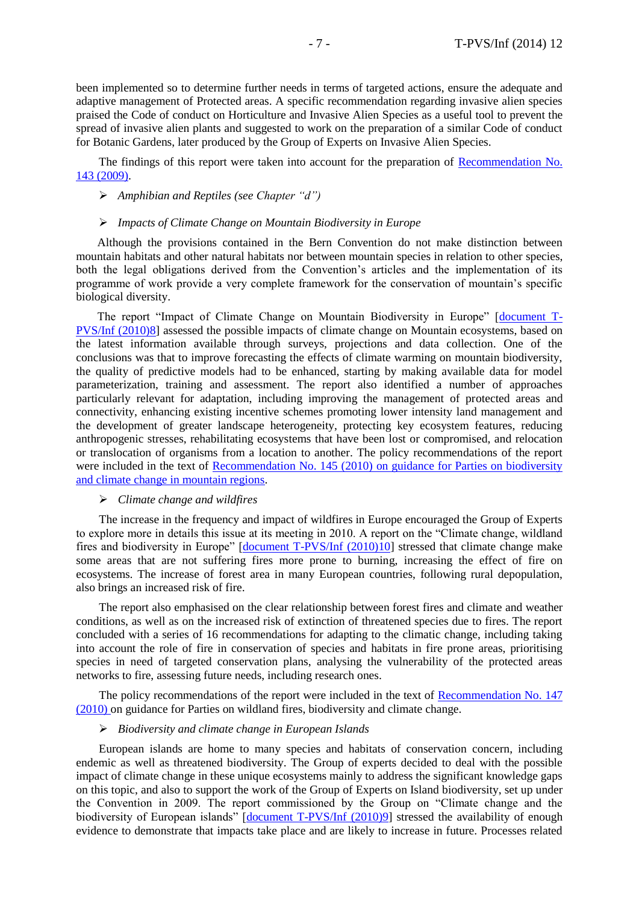been implemented so to determine further needs in terms of targeted actions, ensure the adequate and adaptive management of Protected areas. A specific recommendation regarding invasive alien species praised the Code of conduct on Horticulture and Invasive Alien Species as a useful tool to prevent the spread of invasive alien plants and suggested to work on the preparation of a similar Code of conduct for Botanic Gardens, later produced by the Group of Experts on Invasive Alien Species.

The findings of this report were taken into account for the preparation of [Recommendation No.](https://wcd.coe.int/ViewDoc.jsp?id=1560549&Site=DG4-Nature&BackColorInternet=DBDCF2&BackColorIntranet=FDC864&BackColorLogged=FDC864)  [143 \(2009\).](https://wcd.coe.int/ViewDoc.jsp?id=1560549&Site=DG4-Nature&BackColorInternet=DBDCF2&BackColorIntranet=FDC864&BackColorLogged=FDC864)

#### *Amphibian and Reptiles (see Chapter "d")*

#### *Impacts of Climate Change on Mountain Biodiversity in Europe*

Although the provisions contained in the Bern Convention do not make distinction between mountain habitats and other natural habitats nor between mountain species in relation to other species, both the legal obligations derived from the Convention's articles and the implementation of its programme of work provide a very complete framework for the conservation of mountain's specific biological diversity.

The report "Impact of Climate Change on Mountain Biodiversity in Europe" [\[document T-](https://wcd.coe.int/com.instranet.InstraServlet?command=com.instranet.CmdBlobGet&InstranetImage=2533189&SecMode=1&DocId=1587636&Usage=2)[PVS/Inf \(2010\)8\]](https://wcd.coe.int/com.instranet.InstraServlet?command=com.instranet.CmdBlobGet&InstranetImage=2533189&SecMode=1&DocId=1587636&Usage=2) assessed the possible impacts of climate change on Mountain ecosystems, based on the latest information available through surveys, projections and data collection. One of the conclusions was that to improve forecasting the effects of climate warming on mountain biodiversity, the quality of predictive models had to be enhanced, starting by making available data for model parameterization, training and assessment. The report also identified a number of approaches particularly relevant for adaptation, including improving the management of protected areas and connectivity, enhancing existing incentive schemes promoting lower intensity land management and the development of greater landscape heterogeneity, protecting key ecosystem features, reducing anthropogenic stresses, rehabilitating ecosystems that have been lost or compromised, and relocation or translocation of organisms from a location to another. The policy recommendations of the report were included in the text of Recommendation No. 145 (2010) on guidance for Parties on biodiversity [and climate change in mountain regions.](https://wcd.coe.int/ViewDoc.jsp?Ref=Rec%282010%29145&Language=lanEnglish&Ver=original&Site=DG4-Nature&BackColorInternet=DBDCF2&BackColorIntranet=FDC864&BackColorLogged=FDC864)

#### *Climate change and wildfires*

The increase in the frequency and impact of wildfires in Europe encouraged the Group of Experts to explore more in details this issue at its meeting in 2010. A report on the "Climate change, wildland fires and biodiversity in Europe" [\[document T-PVS/Inf \(2010\)10\]](https://wcd.coe.int/com.instranet.InstraServlet?command=com.instranet.CmdBlobGet&InstranetImage=2533198&SecMode=1&DocId=1615264&Usage=2) stressed that climate change make some areas that are not suffering fires more prone to burning, increasing the effect of fire on ecosystems. The increase of forest area in many European countries, following rural depopulation, also brings an increased risk of fire.

The report also emphasised on the clear relationship between forest fires and climate and weather conditions, as well as on the increased risk of extinction of threatened species due to fires. The report concluded with a series of 16 recommendations for adapting to the climatic change, including taking into account the role of fire in conservation of species and habitats in fire prone areas, prioritising species in need of targeted conservation plans, analysing the vulnerability of the protected areas networks to fire, assessing future needs, including research ones.

The policy recommendations of the report were included in the text of [Recommendation No. 147](https://wcd.coe.int/wcd/ViewDoc.jsp?Ref=Rec%282010%29147&Language=lanEnglish&Ver=original&Site=DG4-Nature&BackColorInternet=DBDCF2&BackColorIntranet=FDC864&BackColorLogged=FDC864)  [\(2010\) o](https://wcd.coe.int/wcd/ViewDoc.jsp?Ref=Rec%282010%29147&Language=lanEnglish&Ver=original&Site=DG4-Nature&BackColorInternet=DBDCF2&BackColorIntranet=FDC864&BackColorLogged=FDC864)n guidance for Parties on wildland fires, biodiversity and climate change.

#### *Biodiversity and climate change in European Islands*

European islands are home to many species and habitats of conservation concern, including endemic as well as threatened biodiversity. The Group of experts decided to deal with the possible impact of climate change in these unique ecosystems mainly to address the significant knowledge gaps on this topic, and also to support the work of the Group of Experts on Island biodiversity, set up under the Convention in 2009. The report commissioned by the Group on "Climate change and the biodiversity of European islands" [\[document T-PVS/Inf \(2010\)9\]](https://wcd.coe.int/com.instranet.InstraServlet?command=com.instranet.CmdBlobGet&InstranetImage=2533207&SecMode=1&DocId=1587692&Usage=2) stressed the availability of enough evidence to demonstrate that impacts take place and are likely to increase in future. Processes related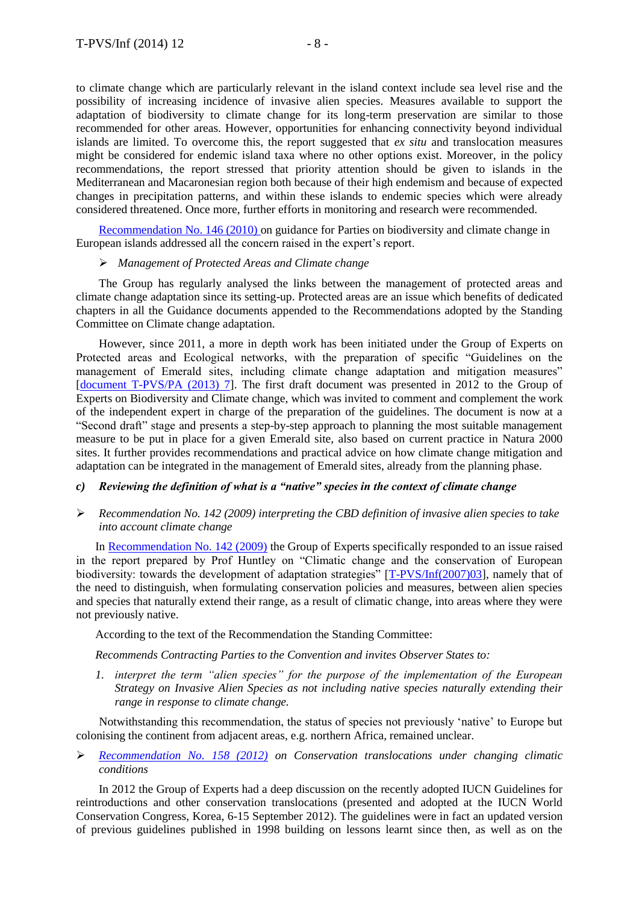to climate change which are particularly relevant in the island context include sea level rise and the possibility of increasing incidence of invasive alien species. Measures available to support the adaptation of biodiversity to climate change for its long-term preservation are similar to those recommended for other areas. However, opportunities for enhancing connectivity beyond individual islands are limited. To overcome this, the report suggested that *ex situ* and translocation measures might be considered for endemic island taxa where no other options exist. Moreover, in the policy recommendations, the report stressed that priority attention should be given to islands in the Mediterranean and Macaronesian region both because of their high endemism and because of expected changes in precipitation patterns, and within these islands to endemic species which were already considered threatened. Once more, further efforts in monitoring and research were recommended.

[Recommendation No. 146 \(2010\) o](https://wcd.coe.int/wcd/ViewDoc.jsp?Ref=Rec%282010%29146&Language=lanEnglish&Ver=original&Site=DG4-Nature&BackColorInternet=DBDCF2&BackColorIntranet=FDC864&BackColorLogged=FDC864)n guidance for Parties on biodiversity and climate change in European islands addressed all the concern raised in the expert's report.

#### *Management of Protected Areas and Climate change*

The Group has regularly analysed the links between the management of protected areas and climate change adaptation since its setting-up. Protected areas are an issue which benefits of dedicated chapters in all the Guidance documents appended to the Recommendations adopted by the Standing Committee on Climate change adaptation.

However, since 2011, a more in depth work has been initiated under the Group of Experts on Protected areas and Ecological networks, with the preparation of specific "Guidelines on the management of Emerald sites, including climate change adaptation and mitigation measures" [\[document T-PVS/PA \(2013\) 7\]](https://wcd.coe.int/com.instranet.InstraServlet?command=com.instranet.CmdBlobGet&InstranetImage=2338228&SecMode=1&DocId=2045656&Usage=2). The first draft document was presented in 2012 to the Group of Experts on Biodiversity and Climate change, which was invited to comment and complement the work of the independent expert in charge of the preparation of the guidelines. The document is now at a "Second draft" stage and presents a step-by-step approach to planning the most suitable management measure to be put in place for a given Emerald site, also based on current practice in Natura 2000 sites. It further provides recommendations and practical advice on how climate change mitigation and adaptation can be integrated in the management of Emerald sites, already from the planning phase.

# *c) Reviewing the definition of what is a "native" species in the context of climate change*

 *Recommendation No. 142 (2009) interpreting the CBD definition of invasive alien species to take into account climate change*

In [Recommendation No. 142 \(2009\)](https://wcd.coe.int/ViewDoc.jsp?Ref=Rec%282009%29142&Language=lanEnglish&Ver=original&Site=DG4-Nature&BackColorInternet=DBDCF2&BackColorIntranet=FDC864&BackColorLogged=FDC864) the Group of Experts specifically responded to an issue raised in the report prepared by Prof Huntley on "Climatic change and the conservation of European biodiversity: towards the development of adaptation strategies" [\[T-PVS/Inf\(2007\)03\]](https://wcd.coe.int/ViewDoc.jsp?Ref=T-PVS/Inf%282007%293&Language=lanEnglish&Ver=original&Site=DG4-Nature&BackColorInternet=a3b811&BackColorIntranet=a3b811&BackColorLogged=EDF4B3), namely that of the need to distinguish, when formulating conservation policies and measures, between alien species and species that naturally extend their range, as a result of climatic change, into areas where they were not previously native.

According to the text of the Recommendation the Standing Committee:

*Recommends Contracting Parties to the Convention and invites Observer States to:*

*1. interpret the term "alien species" for the purpose of the implementation of the European Strategy on Invasive Alien Species as not including native species naturally extending their range in response to climate change.*

Notwithstanding this recommendation, the status of species not previously 'native' to Europe but colonising the continent from adjacent areas, e.g. northern Africa, remained unclear.

 *[Recommendation No. 158 \(2012\)](https://wcd.coe.int/ViewDoc.jsp?id=2010653&Site=&BackColorInternet=B9BDEE&BackColorIntranet=FFCD4F&BackColorLogged=FFC679) on Conservation translocations under changing climatic conditions* 

In 2012 the Group of Experts had a deep discussion on the recently adopted IUCN Guidelines for reintroductions and other conservation translocations (presented and adopted at the IUCN World Conservation Congress, Korea, 6-15 September 2012). The guidelines were in fact an updated version of previous guidelines published in 1998 building on lessons learnt since then, as well as on the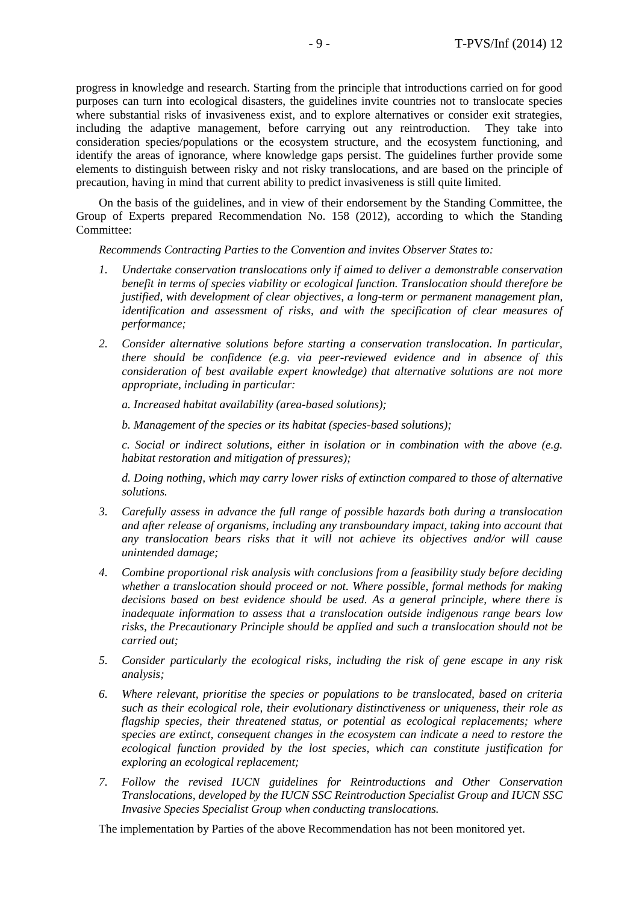progress in knowledge and research. Starting from the principle that introductions carried on for good purposes can turn into ecological disasters, the guidelines invite countries not to translocate species where substantial risks of invasiveness exist, and to explore alternatives or consider exit strategies, including the adaptive management, before carrying out any reintroduction. They take into consideration species/populations or the ecosystem structure, and the ecosystem functioning, and identify the areas of ignorance, where knowledge gaps persist. The guidelines further provide some elements to distinguish between risky and not risky translocations, and are based on the principle of precaution, having in mind that current ability to predict invasiveness is still quite limited.

On the basis of the guidelines, and in view of their endorsement by the Standing Committee, the Group of Experts prepared Recommendation No. 158 (2012), according to which the Standing Committee:

*Recommends Contracting Parties to the Convention and invites Observer States to:*

- *1. Undertake conservation translocations only if aimed to deliver a demonstrable conservation benefit in terms of species viability or ecological function. Translocation should therefore be justified, with development of clear objectives, a long-term or permanent management plan, identification and assessment of risks, and with the specification of clear measures of performance;*
- *2. Consider alternative solutions before starting a conservation translocation. In particular, there should be confidence (e.g. via peer-reviewed evidence and in absence of this consideration of best available expert knowledge) that alternative solutions are not more appropriate, including in particular:*

*a. Increased habitat availability (area-based solutions);*

*b. Management of the species or its habitat (species-based solutions);*

*c. Social or indirect solutions, either in isolation or in combination with the above (e.g. habitat restoration and mitigation of pressures);*

*d. Doing nothing, which may carry lower risks of extinction compared to those of alternative solutions.*

- *3. Carefully assess in advance the full range of possible hazards both during a translocation and after release of organisms, including any transboundary impact, taking into account that any translocation bears risks that it will not achieve its objectives and/or will cause unintended damage;*
- *4. Combine proportional risk analysis with conclusions from a feasibility study before deciding whether a translocation should proceed or not. Where possible, formal methods for making decisions based on best evidence should be used. As a general principle, where there is inadequate information to assess that a translocation outside indigenous range bears low risks, the Precautionary Principle should be applied and such a translocation should not be carried out;*
- *5. Consider particularly the ecological risks, including the risk of gene escape in any risk analysis;*
- *6. Where relevant, prioritise the species or populations to be translocated, based on criteria such as their ecological role, their evolutionary distinctiveness or uniqueness, their role as flagship species, their threatened status, or potential as ecological replacements; where species are extinct, consequent changes in the ecosystem can indicate a need to restore the ecological function provided by the lost species, which can constitute justification for exploring an ecological replacement;*
- *7. Follow the revised IUCN guidelines for Reintroductions and Other Conservation Translocations, developed by the IUCN SSC Reintroduction Specialist Group and IUCN SSC Invasive Species Specialist Group when conducting translocations.*

The implementation by Parties of the above Recommendation has not been monitored yet.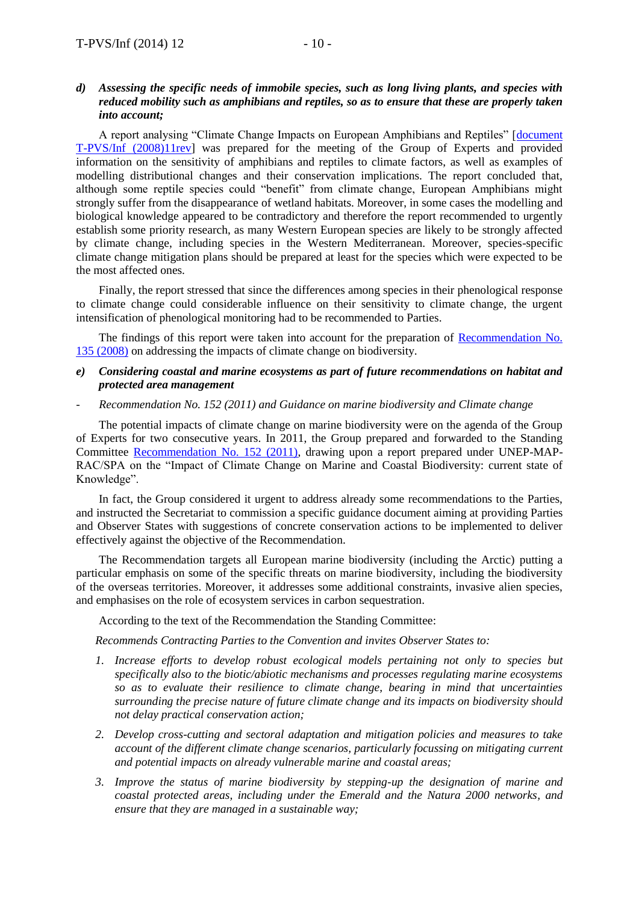### *d) Assessing the specific needs of immobile species, such as long living plants, and species with reduced mobility such as amphibians and reptiles, so as to ensure that these are properly taken into account;*

A report analysing "Climate Change Impacts on European Amphibians and Reptiles" [\[document](https://wcd.coe.int/com.instranet.InstraServlet?command=com.instranet.CmdBlobGet&InstranetImage=1322218&SecMode=1&DocId=1430770&Usage=2)  [T-PVS/Inf \(2008\)11rev\]](https://wcd.coe.int/com.instranet.InstraServlet?command=com.instranet.CmdBlobGet&InstranetImage=1322218&SecMode=1&DocId=1430770&Usage=2) was prepared for the meeting of the Group of Experts and provided information on the sensitivity of amphibians and reptiles to climate factors, as well as examples of modelling distributional changes and their conservation implications. The report concluded that, although some reptile species could "benefit" from climate change, European Amphibians might strongly suffer from the disappearance of wetland habitats. Moreover, in some cases the modelling and biological knowledge appeared to be contradictory and therefore the report recommended to urgently establish some priority research, as many Western European species are likely to be strongly affected by climate change, including species in the Western Mediterranean. Moreover, species-specific climate change mitigation plans should be prepared at least for the species which were expected to be the most affected ones.

Finally, the report stressed that since the differences among species in their phenological response to climate change could considerable influence on their sensitivity to climate change, the urgent intensification of phenological monitoring had to be recommended to Parties.

The findings of this report were taken into account for the preparation of Recommendation No. [135 \(2008\)](https://wcd.coe.int/ViewDoc.jsp?Ref=Rec%282008%29135&Language=lanEnglish&Ver=original&Site=DG4-Nature&BackColorInternet=a3b811&BackColorIntranet=a3b811&BackColorLogged=EDF4B3) on addressing the impacts of climate change on biodiversity.

#### *e) Considering coastal and marine ecosystems as part of future recommendations on habitat and protected area management*

#### - *Recommendation No. 152 (2011) and Guidance on marine biodiversity and Climate change*

The potential impacts of climate change on marine biodiversity were on the agenda of the Group of Experts for two consecutive years. In 2011, the Group prepared and forwarded to the Standing Committee [Recommendation No. 152 \(2011\),](https://wcd.coe.int/ViewDoc.jsp?id=1836569&Site=DG4-Nature&BackColorInternet=DBDCF2&BackColorIntranet=FDC864&BackColorLogged=FDC864) drawing upon a report prepared under UNEP-MAP-RAC/SPA on the "Impact of Climate Change on Marine and Coastal Biodiversity: current state of Knowledge".

In fact, the Group considered it urgent to address already some recommendations to the Parties, and instructed the Secretariat to commission a specific guidance document aiming at providing Parties and Observer States with suggestions of concrete conservation actions to be implemented to deliver effectively against the objective of the Recommendation.

The Recommendation targets all European marine biodiversity (including the Arctic) putting a particular emphasis on some of the specific threats on marine biodiversity, including the biodiversity of the overseas territories. Moreover, it addresses some additional constraints, invasive alien species, and emphasises on the role of ecosystem services in carbon sequestration.

According to the text of the Recommendation the Standing Committee:

*Recommends Contracting Parties to the Convention and invites Observer States to:*

- *1. Increase efforts to develop robust ecological models pertaining not only to species but specifically also to the biotic/abiotic mechanisms and processes regulating marine ecosystems so as to evaluate their resilience to climate change, bearing in mind that uncertainties surrounding the precise nature of future climate change and its impacts on biodiversity should not delay practical conservation action;*
- *2. Develop cross-cutting and sectoral adaptation and mitigation policies and measures to take account of the different climate change scenarios, particularly focussing on mitigating current and potential impacts on already vulnerable marine and coastal areas;*
- *3. Improve the status of marine biodiversity by stepping-up the designation of marine and coastal protected areas, including under the Emerald and the Natura 2000 networks, and ensure that they are managed in a sustainable way;*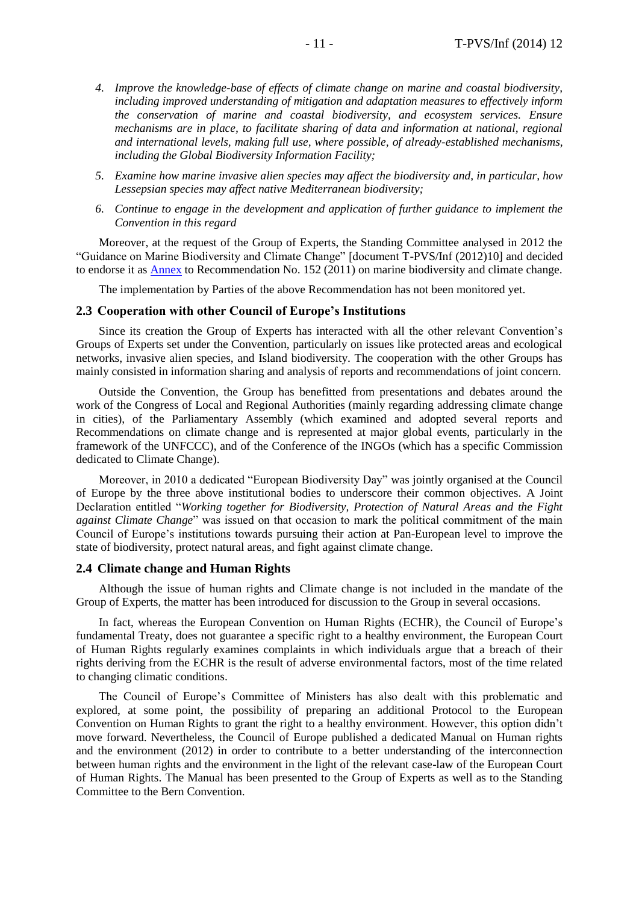- *4. Improve the knowledge-base of effects of climate change on marine and coastal biodiversity, including improved understanding of mitigation and adaptation measures to effectively inform the conservation of marine and coastal biodiversity, and ecosystem services. Ensure mechanisms are in place, to facilitate sharing of data and information at national, regional and international levels, making full use, where possible, of already-established mechanisms, including the Global Biodiversity Information Facility;*
- *5. Examine how marine invasive alien species may affect the biodiversity and, in particular, how Lessepsian species may affect native Mediterranean biodiversity;*
- *6. Continue to engage in the development and application of further guidance to implement the Convention in this regard*

Moreover, at the request of the Group of Experts, the Standing Committee analysed in 2012 the "Guidance on Marine Biodiversity and Climate Change" [document T-PVS/Inf (2012)10] and decided to endorse it as [Annex](https://wcd.coe.int/ViewDoc.jsp?id=1836569&Site=DG4-Nature&BackColorInternet=DBDCF2&BackColorIntranet=FDC864&BackColorLogged=FDC864) to Recommendation No. 152 (2011) on marine biodiversity and climate change.

The implementation by Parties of the above Recommendation has not been monitored yet.

#### **2.3 Cooperation with other Council of Europe's Institutions**

Since its creation the Group of Experts has interacted with all the other relevant Convention's Groups of Experts set under the Convention, particularly on issues like protected areas and ecological networks, invasive alien species, and Island biodiversity. The cooperation with the other Groups has mainly consisted in information sharing and analysis of reports and recommendations of joint concern.

Outside the Convention, the Group has benefitted from presentations and debates around the work of the Congress of Local and Regional Authorities (mainly regarding addressing climate change in cities), of the Parliamentary Assembly (which examined and adopted several reports and Recommendations on climate change and is represented at major global events, particularly in the framework of the UNFCCC), and of the Conference of the INGOs (which has a specific Commission dedicated to Climate Change).

Moreover, in 2010 a dedicated "European Biodiversity Day" was jointly organised at the Council of Europe by the three above institutional bodies to underscore their common objectives. A Joint Declaration entitled "*Working together for Biodiversity, Protection of Natural Areas and the Fight against Climate Change*" was issued on that occasion to mark the political commitment of the main Council of Europe's institutions towards pursuing their action at Pan-European level to improve the state of biodiversity, protect natural areas, and fight against climate change.

#### **2.4 Climate change and Human Rights**

Although the issue of human rights and Climate change is not included in the mandate of the Group of Experts, the matter has been introduced for discussion to the Group in several occasions.

In fact, whereas the European Convention on Human Rights (ECHR), the Council of Europe's fundamental Treaty, does not guarantee a specific right to a healthy environment, the European Court of Human Rights regularly examines complaints in which individuals argue that a breach of their rights deriving from the ECHR is the result of adverse environmental factors, most of the time related to changing climatic conditions.

The Council of Europe's Committee of Ministers has also dealt with this problematic and explored, at some point, the possibility of preparing an additional Protocol to the European Convention on Human Rights to grant the right to a healthy environment. However, this option didn't move forward. Nevertheless, the Council of Europe published a dedicated Manual on Human rights and the environment (2012) in order to contribute to a better understanding of the interconnection between human rights and the environment in the light of the relevant case-law of the European Court of Human Rights. The Manual has been presented to the Group of Experts as well as to the Standing Committee to the Bern Convention.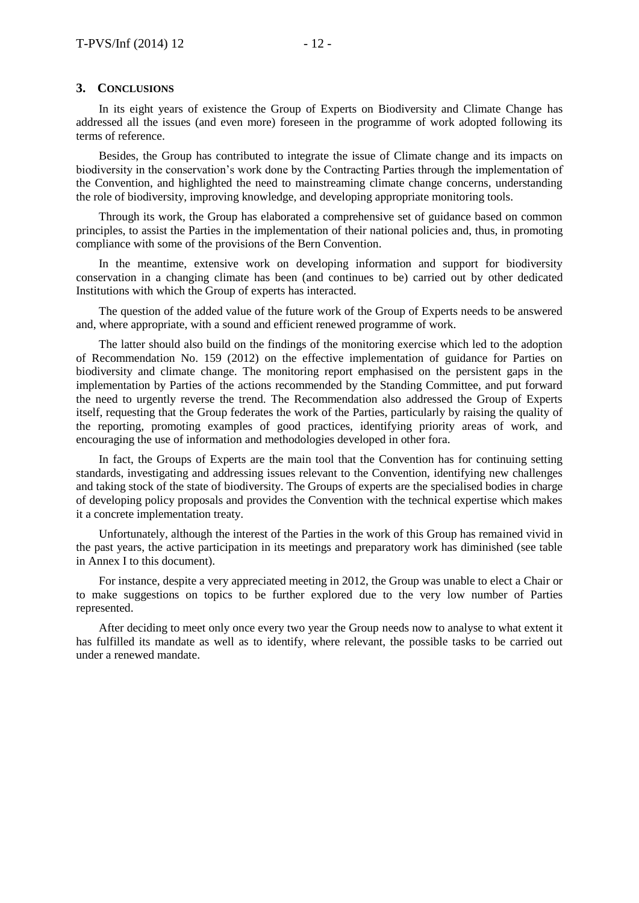#### **3. CONCLUSIONS**

In its eight years of existence the Group of Experts on Biodiversity and Climate Change has addressed all the issues (and even more) foreseen in the programme of work adopted following its terms of reference.

Besides, the Group has contributed to integrate the issue of Climate change and its impacts on biodiversity in the conservation's work done by the Contracting Parties through the implementation of the Convention, and highlighted the need to mainstreaming climate change concerns, understanding the role of biodiversity, improving knowledge, and developing appropriate monitoring tools.

Through its work, the Group has elaborated a comprehensive set of guidance based on common principles, to assist the Parties in the implementation of their national policies and, thus, in promoting compliance with some of the provisions of the Bern Convention.

In the meantime, extensive work on developing information and support for biodiversity conservation in a changing climate has been (and continues to be) carried out by other dedicated Institutions with which the Group of experts has interacted.

The question of the added value of the future work of the Group of Experts needs to be answered and, where appropriate, with a sound and efficient renewed programme of work.

The latter should also build on the findings of the monitoring exercise which led to the adoption of Recommendation No. 159 (2012) on the effective implementation of guidance for Parties on biodiversity and climate change. The monitoring report emphasised on the persistent gaps in the implementation by Parties of the actions recommended by the Standing Committee, and put forward the need to urgently reverse the trend. The Recommendation also addressed the Group of Experts itself, requesting that the Group federates the work of the Parties, particularly by raising the quality of the reporting, promoting examples of good practices, identifying priority areas of work, and encouraging the use of information and methodologies developed in other fora.

In fact, the Groups of Experts are the main tool that the Convention has for continuing setting standards, investigating and addressing issues relevant to the Convention, identifying new challenges and taking stock of the state of biodiversity. The Groups of experts are the specialised bodies in charge of developing policy proposals and provides the Convention with the technical expertise which makes it a concrete implementation treaty.

Unfortunately, although the interest of the Parties in the work of this Group has remained vivid in the past years, the active participation in its meetings and preparatory work has diminished (see table in Annex I to this document).

For instance, despite a very appreciated meeting in 2012, the Group was unable to elect a Chair or to make suggestions on topics to be further explored due to the very low number of Parties represented.

After deciding to meet only once every two year the Group needs now to analyse to what extent it has fulfilled its mandate as well as to identify, where relevant, the possible tasks to be carried out under a renewed mandate.